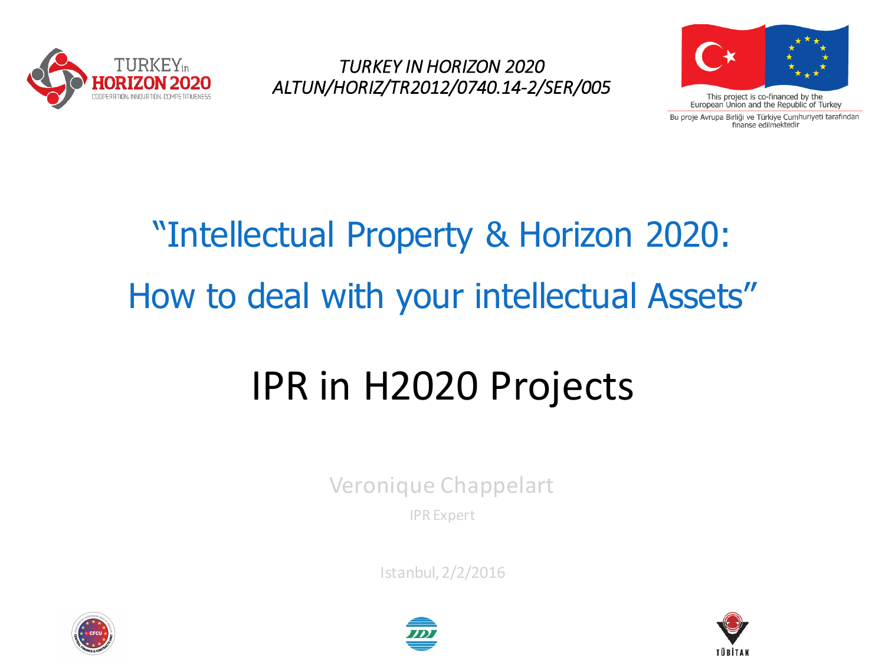

*TURKEY IN HORIZON 2020 ALTUN/HORIZ/TR2012/0740.14-2/SER/005*



Bu proje Avrupa Birliği ve Türkiye Cumhuriyeti tarafından finanse edilmektedir

# "Intellectual Property & Horizon 2020: How to deal with your intellectual Assets"

# IPR in H2020 Projects

Veronique Chappelart

IPR Expert

Istanbul, 2/2/2016





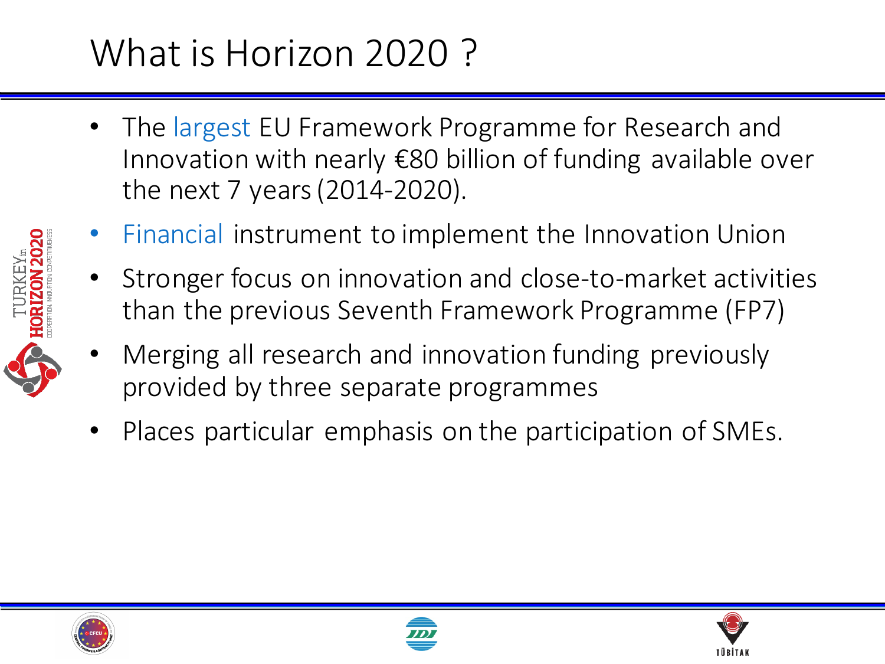#### What is Horizon 2020?

- The largest EU Framework Programme for Research and Innovation with nearly  $\epsilon$ 80 billion of funding available over the next 7 years (2014-2020).
- Financial instrument to implement the Innovation Union
- Stronger focus on innovation and close-to-market activities than the previous Seventh Framework Programme (FP7)
- Merging all research and innovation funding previously provided by three separate programmes
- Places particular emphasis on the participation of SMEs.





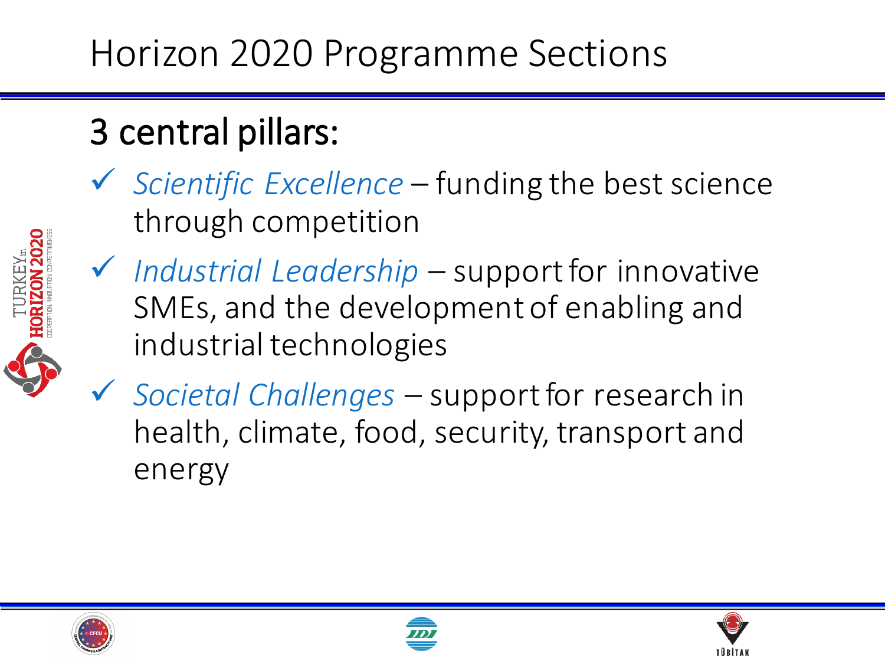#### 3 central pillars:

■ Scientific Excellence – funding the best science through competition



- ◆ *Industrial Leadership* support for innovative SMEs, and the development of enabling and industrial technologies
- ü *Societal Challenges*  support for research in health, climate, food, security, transport and energy





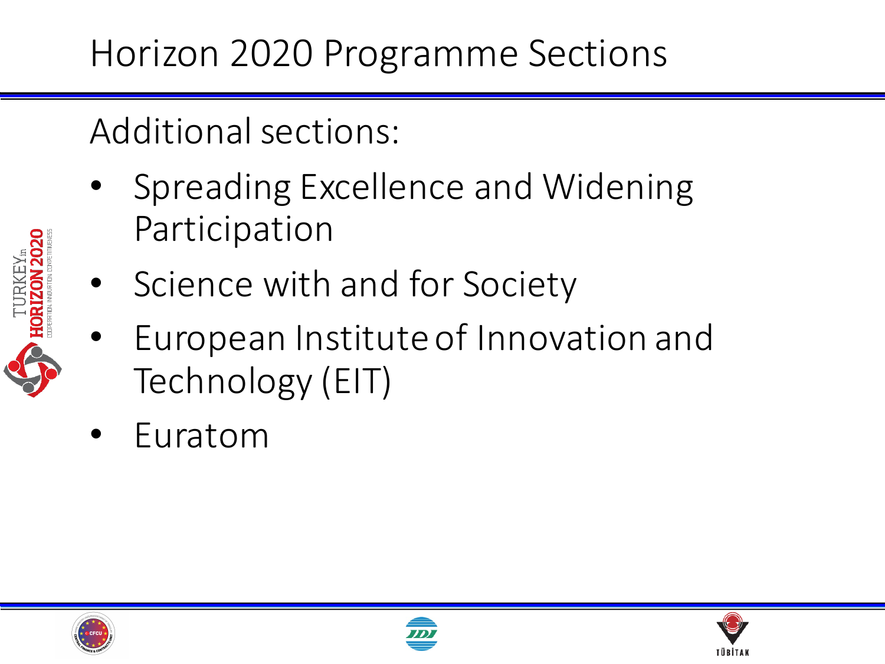Additional sections:

- Spreading Excellence and Widening Participation
- Science with and for Society
- European Institute of Innovation and Technology (EIT)
- **Euratom**





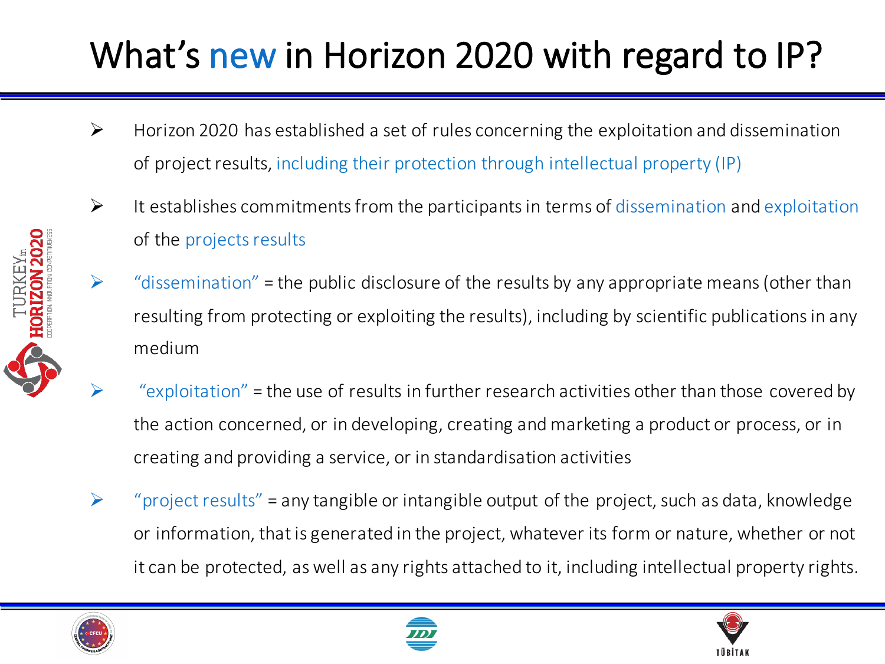#### What's new in Horizon 2020 with regard to IP?

- $\triangleright$  Horizon 2020 has established a set of rules concerning the exploitation and dissemination of project results, including their protection through intellectual property (IP)
- $\triangleright$  It establishes commitments from the participants in terms of dissemination and exploitation of the projects results
- $\triangleright$  "dissemination" = the public disclosure of the results by any appropriate means (other than resulting from protecting or exploiting the results), including by scientific publications in any medium
- "exploitation" = the use of results in further research activities other than those covered by the action concerned, or in developing, creating and marketing a product or process, or in creating and providing a service, or in standardisation activities
- $\triangleright$  "project results" = any tangible or intangible output of the project, such as data, knowledge or information, that is generated in the project, whatever its form or nature, whether or not it can be protected, as well as any rights attached to it, including intellectual property rights.







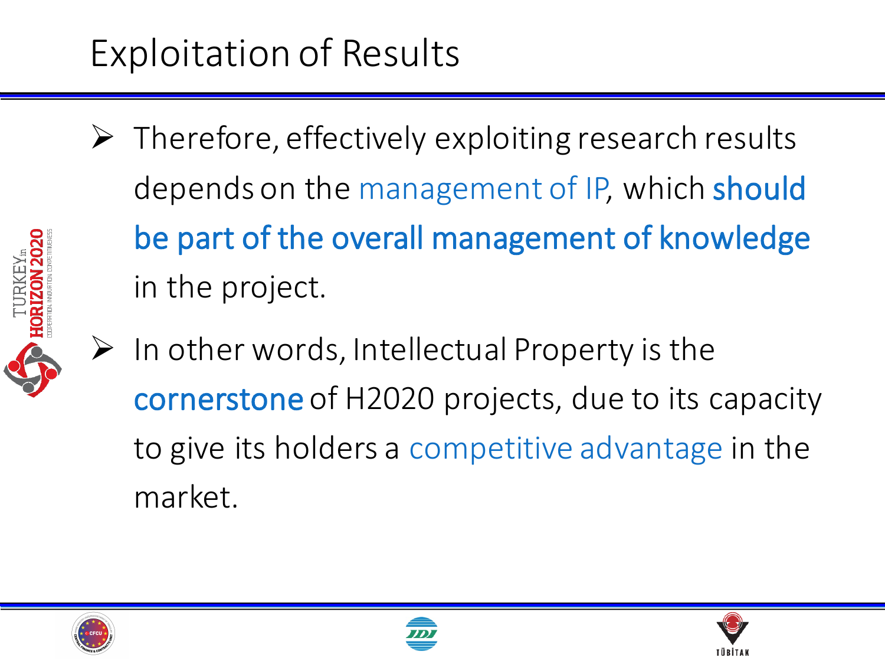## Exploitation of Results

 $\triangleright$  Therefore, effectively exploiting research results depends on the management of IP, which should be part of the overall management of knowledge in the project.



 $\triangleright$  In other words, Intellectual Property is the cornerstone of H2020 projects, due to its capacity to give its holders a competitive advantage in the market.





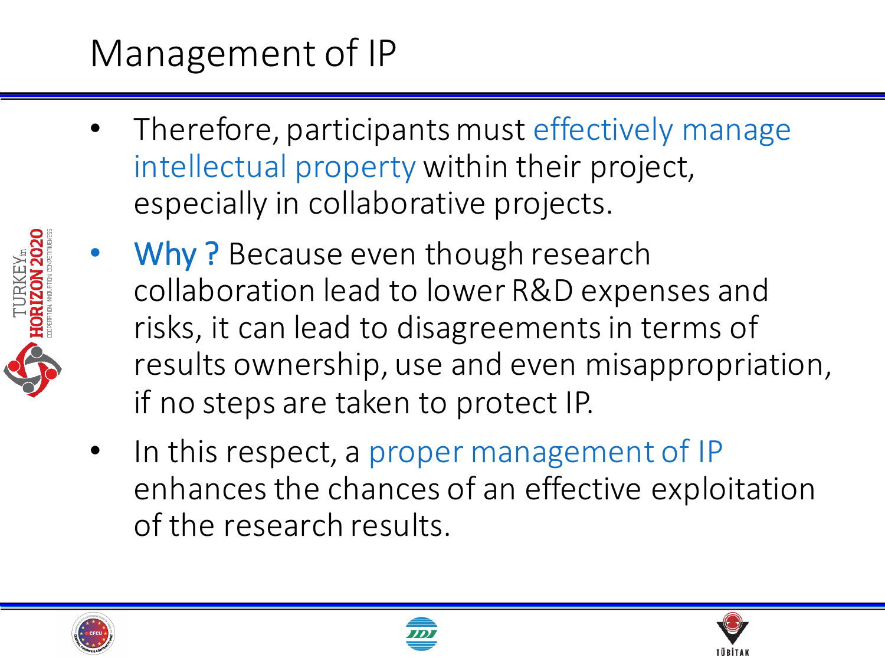## Management of IP

- Therefore, participants must effectively manage intellectual property within their project, especially in collaborative projects.
- Why? Because even though research collaboration lead to lower R&D expenses and risks, it can lead to disagreements in terms of results ownership, use and even misappropriation, if no steps are taken to protect IP.
	- In this respect, a proper management of IP enhances the chances of an effective exploitation of the research results.





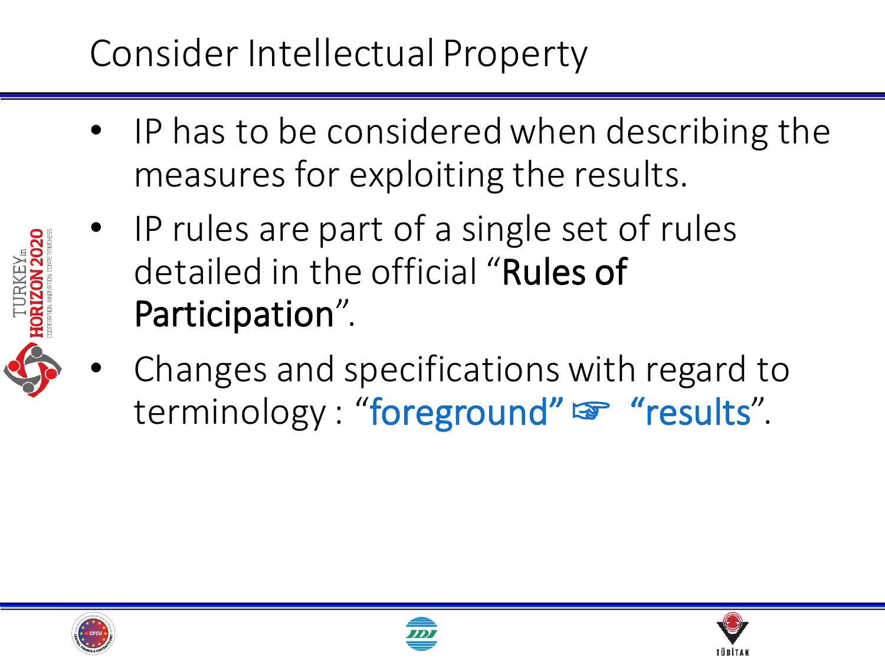## Consider Intellectual Property

- IP has to be considered when describing the measures for exploiting the results.
- IP rules are part of a single set of rules detailed in the official "Rules of Participation".
- Changes and specifications with regard to terminology : "foreground" o "results".





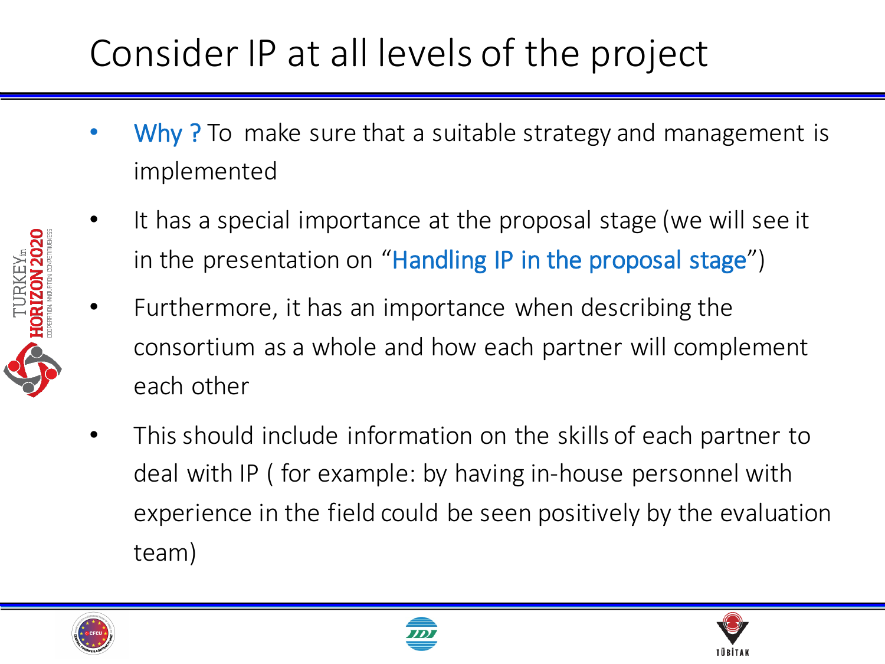### Consider IP at all levels of the project

- Why? To make sure that a suitable strategy and management is implemented
- It has a special importance at the proposal stage (we will see it in the presentation on "Handling IP in the proposal stage")
- Furthermore, it has an importance when describing the consortium as a whole and how each partner will complement each other
- This should include information on the skills of each partner to deal with IP ( for example: by having in-house personnel with experience in the field could be seen positively by the evaluation team)





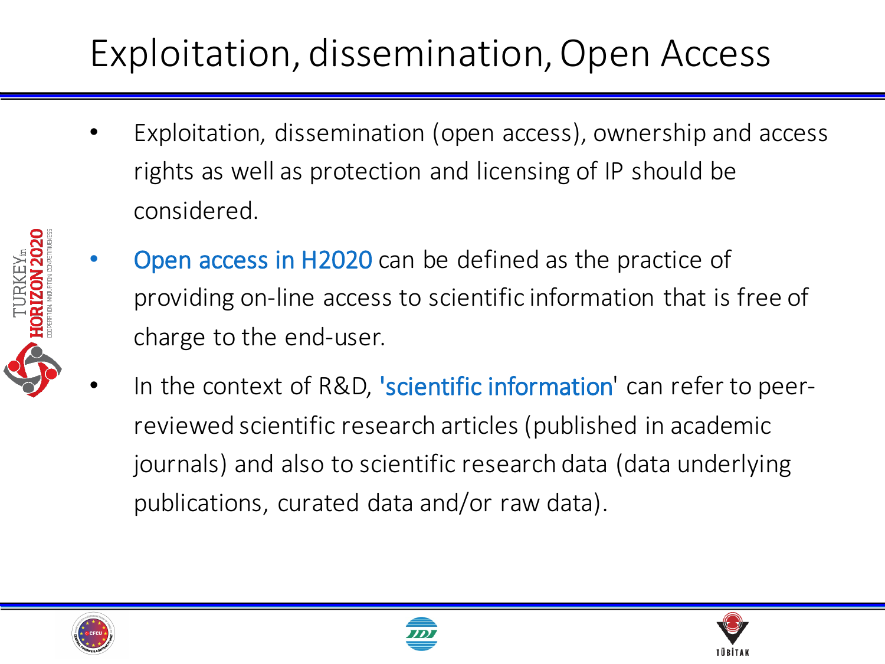## Exploitation, dissemination, Open Access

- Exploitation, dissemination (open access), ownership and access rights as well as protection and licensing of IP should be considered.
- 
- **Open access in H2020** can be defined as the practice of providing on-line access to scientific information that is free of charge to the end-user.
- In the context of R&D, 'scientific information' can refer to peerreviewed scientific research articles (published in academic journals) and also to scientific research data (data underlying publications, curated data and/or raw data).





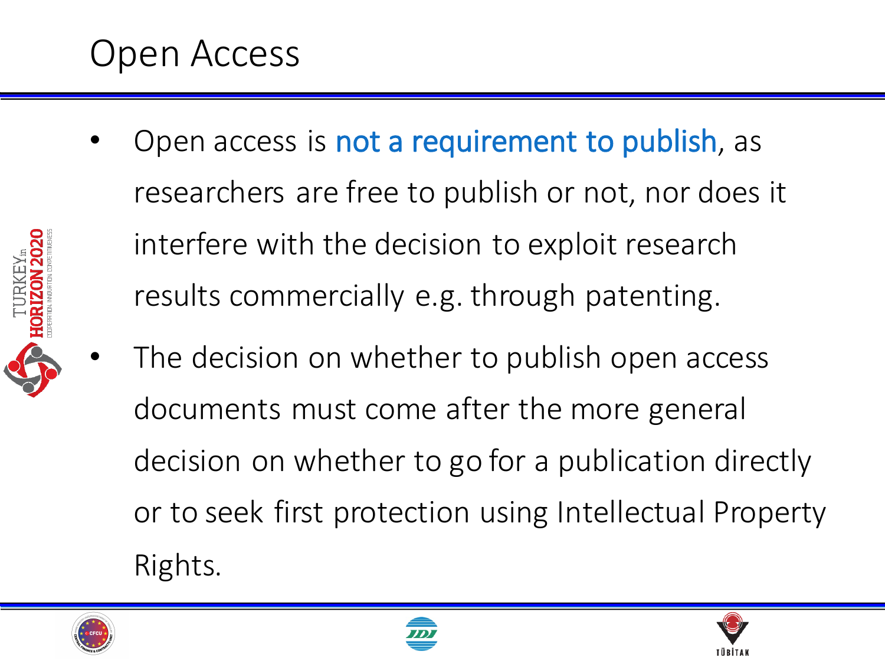#### Open Access

- Open access is not a requirement to publish, as researchers are free to publish or not, nor does it interfere with the decision to exploit research results commercially e.g. through patenting.
- The decision on whether to publish open access documents must come after the more general decision on whether to go for a publication directly or to seek first protection using Intellectual Property Rights.